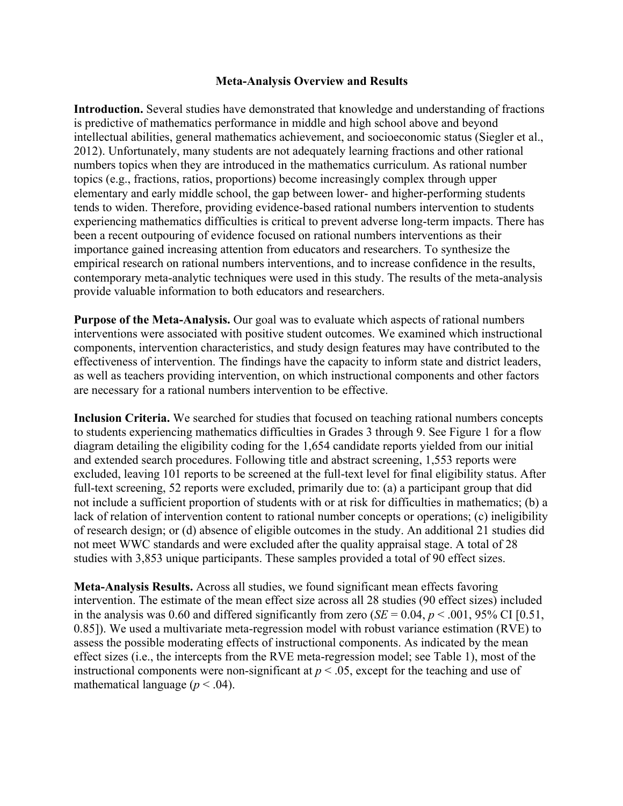## **Meta-Analysis Overview and Results**

**Introduction.** Several studies have demonstrated that knowledge and understanding of fractions is predictive of mathematics performance in middle and high school above and beyond intellectual abilities, general mathematics achievement, and socioeconomic status (Siegler et al., 2012). Unfortunately, many students are not adequately learning fractions and other rational numbers topics when they are introduced in the mathematics curriculum. As rational number topics (e.g., fractions, ratios, proportions) become increasingly complex through upper elementary and early middle school, the gap between lower- and higher-performing students tends to widen. Therefore, providing evidence-based rational numbers intervention to students experiencing mathematics difficulties is critical to prevent adverse long-term impacts. There has been a recent outpouring of evidence focused on rational numbers interventions as their importance gained increasing attention from educators and researchers. To synthesize the empirical research on rational numbers interventions, and to increase confidence in the results, contemporary meta-analytic techniques were used in this study. The results of the meta-analysis provide valuable information to both educators and researchers.

**Purpose of the Meta-Analysis.** Our goal was to evaluate which aspects of rational numbers interventions were associated with positive student outcomes. We examined which instructional components, intervention characteristics, and study design features may have contributed to the effectiveness of intervention. The findings have the capacity to inform state and district leaders, as well as teachers providing intervention, on which instructional components and other factors are necessary for a rational numbers intervention to be effective.

**Inclusion Criteria.** We searched for studies that focused on teaching rational numbers concepts to students experiencing mathematics difficulties in Grades 3 through 9. See Figure 1 for a flow diagram detailing the eligibility coding for the 1,654 candidate reports yielded from our initial and extended search procedures. Following title and abstract screening, 1,553 reports were excluded, leaving 101 reports to be screened at the full-text level for final eligibility status. After full-text screening, 52 reports were excluded, primarily due to: (a) a participant group that did not include a sufficient proportion of students with or at risk for difficulties in mathematics; (b) a lack of relation of intervention content to rational number concepts or operations; (c) ineligibility of research design; or (d) absence of eligible outcomes in the study. An additional 21 studies did not meet WWC standards and were excluded after the quality appraisal stage. A total of 28 studies with 3,853 unique participants. These samples provided a total of 90 effect sizes.

**Meta-Analysis Results.** Across all studies, we found significant mean effects favoring intervention. The estimate of the mean effect size across all 28 studies (90 effect sizes) included in the analysis was 0.60 and differed significantly from zero ( $SE = 0.04$ ,  $p < .001$ , 95% CI [0.51, 0.85]). We used a multivariate meta-regression model with robust variance estimation (RVE) to assess the possible moderating effects of instructional components. As indicated by the mean effect sizes (i.e., the intercepts from the RVE meta-regression model; see Table 1), most of the instructional components were non-significant at  $p < .05$ , except for the teaching and use of mathematical language  $(p < .04)$ .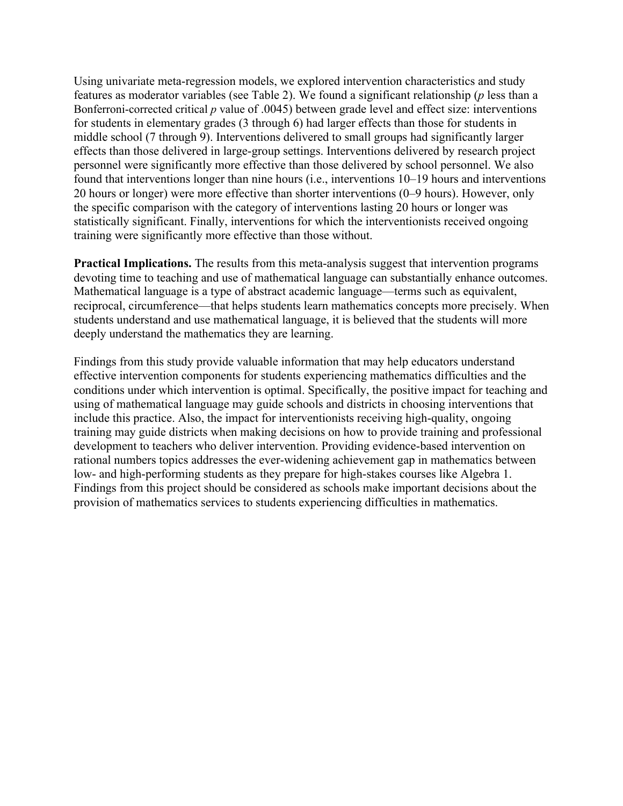Using univariate meta-regression models, we explored intervention characteristics and study features as moderator variables (see Table 2). We found a significant relationship (*p* less than a Bonferroni-corrected critical *p* value of .0045) between grade level and effect size: interventions for students in elementary grades (3 through 6) had larger effects than those for students in middle school (7 through 9). Interventions delivered to small groups had significantly larger effects than those delivered in large-group settings. Interventions delivered by research project personnel were significantly more effective than those delivered by school personnel. We also found that interventions longer than nine hours (i.e., interventions 10–19 hours and interventions 20 hours or longer) were more effective than shorter interventions (0–9 hours). However, only the specific comparison with the category of interventions lasting 20 hours or longer was statistically significant. Finally, interventions for which the interventionists received ongoing training were significantly more effective than those without.

**Practical Implications.** The results from this meta-analysis suggest that intervention programs devoting time to teaching and use of mathematical language can substantially enhance outcomes. Mathematical language is a type of abstract academic language—terms such as equivalent, reciprocal, circumference—that helps students learn mathematics concepts more precisely. When students understand and use mathematical language, it is believed that the students will more deeply understand the mathematics they are learning.

Findings from this study provide valuable information that may help educators understand effective intervention components for students experiencing mathematics difficulties and the conditions under which intervention is optimal. Specifically, the positive impact for teaching and using of mathematical language may guide schools and districts in choosing interventions that include this practice. Also, the impact for interventionists receiving high-quality, ongoing training may guide districts when making decisions on how to provide training and professional development to teachers who deliver intervention. Providing evidence-based intervention on rational numbers topics addresses the ever-widening achievement gap in mathematics between low- and high-performing students as they prepare for high-stakes courses like Algebra 1. Findings from this project should be considered as schools make important decisions about the provision of mathematics services to students experiencing difficulties in mathematics.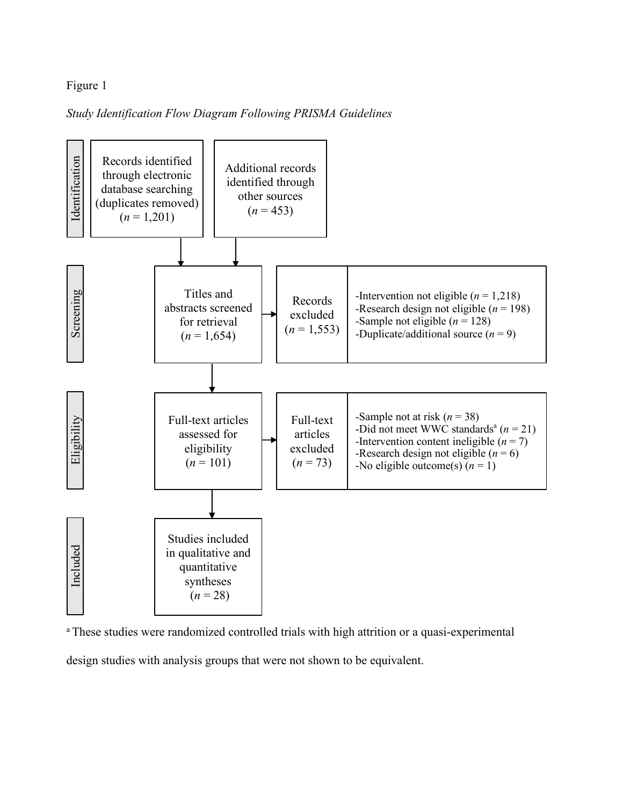## Figure 1

## *Study Identification Flow Diagram Following PRISMA Guidelines*



<sup>a</sup> These studies were randomized controlled trials with high attrition or a quasi-experimental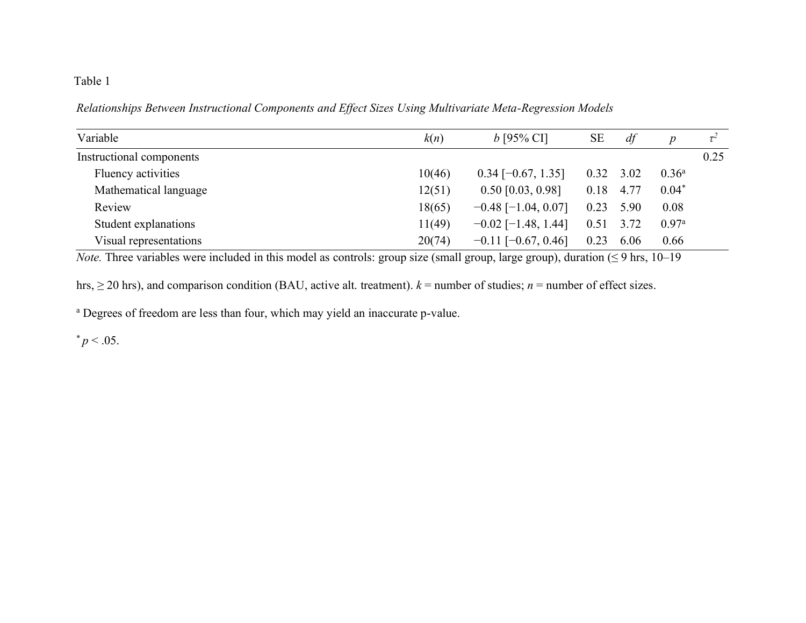## Table 1

*Relationships Between Instructional Components and Effect Sizes Using Multivariate Meta-Regression Models*

| Variable                 | k(n)   | $b$ [95% CI]              | <b>SE</b> | df          | $\boldsymbol{p}$  |      |
|--------------------------|--------|---------------------------|-----------|-------------|-------------------|------|
| Instructional components |        |                           |           |             |                   | 0.25 |
| Fluency activities       | 10(46) | $0.34$ [-0.67, 1.35]      |           | $0.32$ 3.02 | $0.36^{\rm a}$    |      |
| Mathematical language    | 12(51) | $0.50$ [0.03, 0.98]       | 0.18      | 4.77        | $0.04*$           |      |
| Review                   | 18(65) | $-0.48$ [-1.04, 0.07]     | 0.23      | 5.90        | 0.08              |      |
| Student explanations     | 11(49) | $-0.02$ [-1.48, 1.44]     | 0.51      | 3.72        | 0.97 <sup>a</sup> |      |
| Visual representations   | 20(74) | $-0.11$ [ $-0.67, 0.46$ ] | 0.23      | 6.06        | 0.66              |      |

*Note.* Three variables were included in this model as controls: group size (small group, large group), duration  $( \leq 9 \text{ hrs}, 10-19 \text{ miles})$ 

hrs,  $\geq$  20 hrs), and comparison condition (BAU, active alt. treatment).  $k$  = number of studies; *n* = number of effect sizes.

<sup>a</sup> Degrees of freedom are less than four, which may yield an inaccurate p-value.

 $* p < .05.$